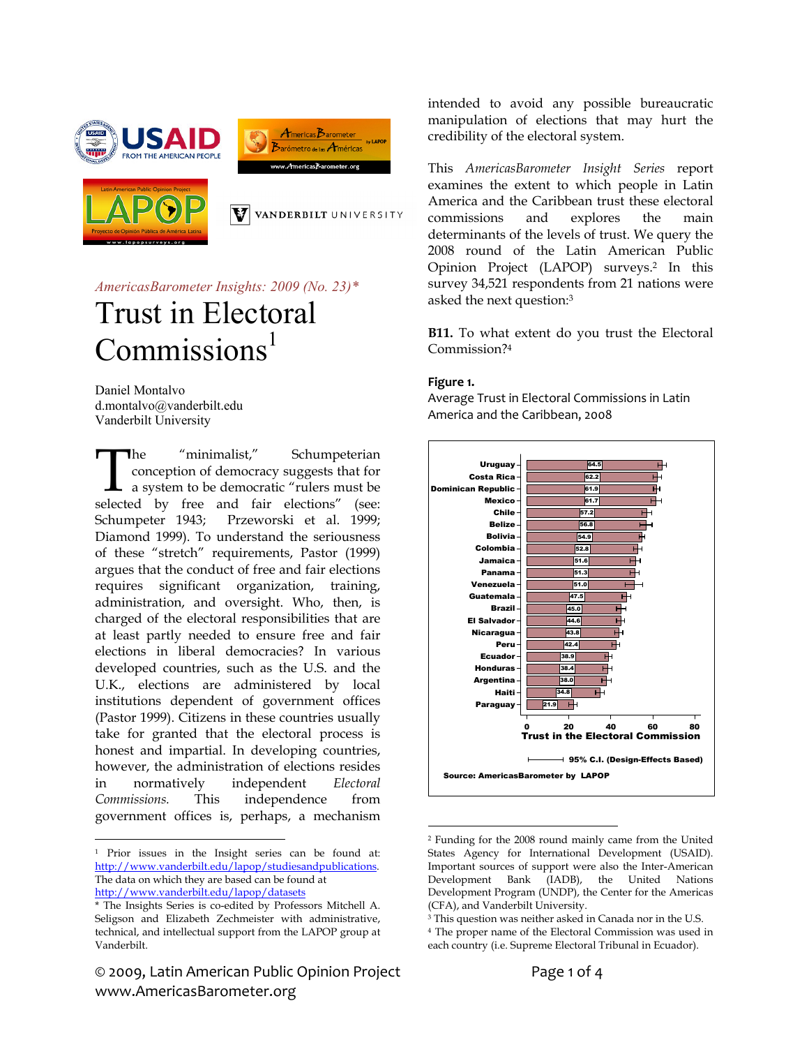





VANDERBILT UNIVERSITY

*AmericasBarometer Insights: 2009 (No. 23)\** 

# Trust in Electoral  $Commission<sup>1</sup>$

Daniel Montalvo d.montalvo@vanderbilt.edu Vanderbilt University

he "minimalist," Schumpeterian conception of democracy suggests that for a system to be democratic "rulers must be The "minimalist," Schumpeterian conception of democracy suggests that for a system to be democratic "rulers must be selected by free and fair elections" (see: Schumpeter 1943; Przeworski et al. 1999; Diamond 1999). To understand the seriousness of these "stretch" requirements, Pastor (1999) argues that the conduct of free and fair elections requires significant organization, training, administration, and oversight. Who, then, is charged of the electoral responsibilities that are at least partly needed to ensure free and fair elections in liberal democracies? In various developed countries, such as the U.S. and the U.K., elections are administered by local institutions dependent of government offices (Pastor 1999). Citizens in these countries usually take for granted that the electoral process is honest and impartial. In developing countries, however, the administration of elections resides in normatively independent *Electoral Commissions.* This independence from government offices is, perhaps, a mechanism

 $\overline{a}$ 

© 2009, Latin American Public Opinion Project Page 1 of 4 www.AmericasBarometer.org

intended to avoid any possible bureaucratic manipulation of elections that may hurt the credibility of the electoral system.

This *AmericasBarometer Insight Series* report examines the extent to which people in Latin America and the Caribbean trust these electoral commissions and explores the main determinants of the levels of trust. We query the 2008 round of the Latin American Public Opinion Project (LAPOP) surveys.2 In this survey 34,521 respondents from 21 nations were asked the next question:3

**B11.** To what extent do you trust the Electoral Commission?4

#### **Figure 1.**

Average Trust in Electoral Commissions in Latin America and the Caribbean, 2008



 $\overline{a}$ 2 Funding for the 2008 round mainly came from the United States Agency for International Development (USAID). Important sources of support were also the Inter-American Development Bank (IADB), the United Nations Development Program (UNDP), the Center for the Americas (CFA), and Vanderbilt University.

<sup>1</sup> Prior issues in the Insight series can be found at: http://www.vanderbilt.edu/lapop/studiesandpublications. The data on which they are based can be found at http://www.vanderbilt.edu/lapop/datasets

<sup>\*</sup> The Insights Series is co-edited by Professors Mitchell A. Seligson and Elizabeth Zechmeister with administrative, technical, and intellectual support from the LAPOP group at Vanderbilt.

<sup>3</sup> This question was neither asked in Canada nor in the U.S. <sup>4</sup> The proper name of the Electoral Commission was used in each country (i.e. Supreme Electoral Tribunal in Ecuador).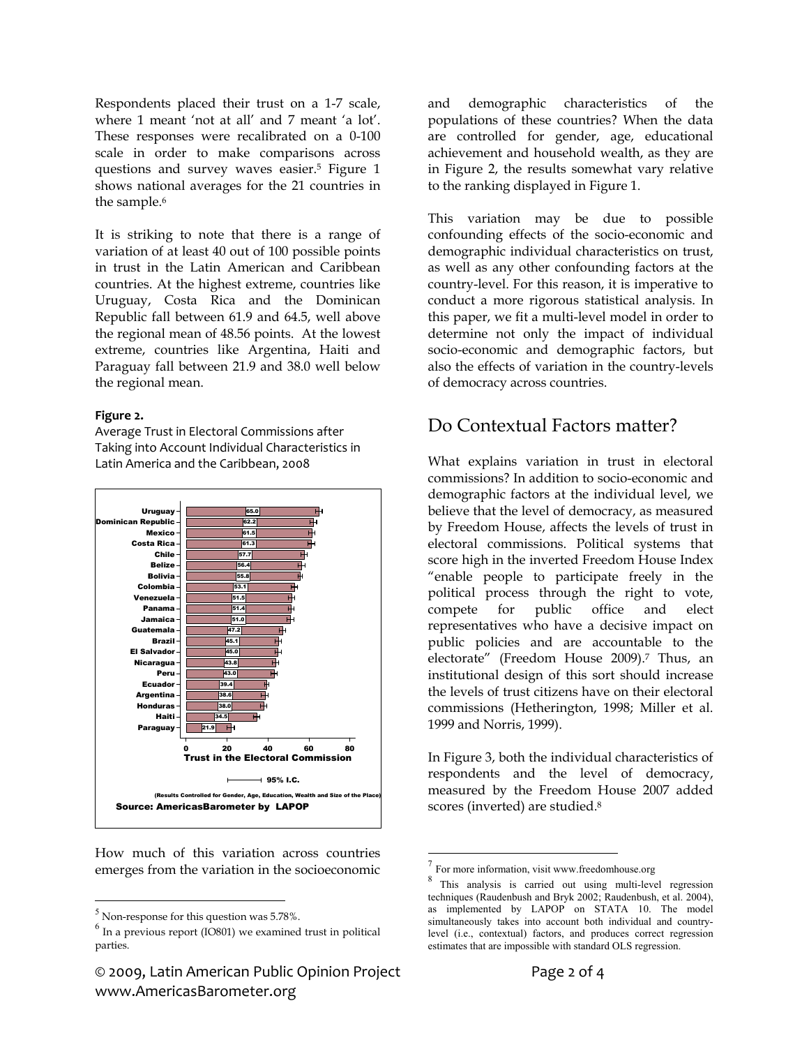Respondents placed their trust on a 1-7 scale, where 1 meant 'not at all' and 7 meant 'a lot'. These responses were recalibrated on a 0-100 scale in order to make comparisons across questions and survey waves easier.5 Figure 1 shows national averages for the 21 countries in the sample.<sup>6</sup>

It is striking to note that there is a range of variation of at least 40 out of 100 possible points in trust in the Latin American and Caribbean countries. At the highest extreme, countries like Uruguay, Costa Rica and the Dominican Republic fall between 61.9 and 64.5, well above the regional mean of 48.56 points. At the lowest extreme, countries like Argentina, Haiti and Paraguay fall between 21.9 and 38.0 well below the regional mean.

#### **Figure 2.**

Average Trust in Electoral Commissions after Taking into Account Individual Characteristics in Latin America and the Caribbean, 2008



How much of this variation across countries emerges from the variation in the socioeconomic

 $\overline{a}$ 

© 2009, Latin American Public Opinion Project Page 2 of 4 www.AmericasBarometer.org

and demographic characteristics of the populations of these countries? When the data are controlled for gender, age, educational achievement and household wealth, as they are in Figure 2, the results somewhat vary relative to the ranking displayed in Figure 1.

This variation may be due to possible confounding effects of the socio-economic and demographic individual characteristics on trust, as well as any other confounding factors at the country-level. For this reason, it is imperative to conduct a more rigorous statistical analysis. In this paper, we fit a multi-level model in order to determine not only the impact of individual socio-economic and demographic factors, but also the effects of variation in the country-levels of democracy across countries.

### Do Contextual Factors matter?

What explains variation in trust in electoral commissions? In addition to socio-economic and demographic factors at the individual level, we believe that the level of democracy, as measured by Freedom House, affects the levels of trust in electoral commissions. Political systems that score high in the inverted Freedom House Index "enable people to participate freely in the political process through the right to vote, compete for public office and elect representatives who have a decisive impact on public policies and are accountable to the electorate" (Freedom House 2009).<sup>7</sup> Thus, an institutional design of this sort should increase the levels of trust citizens have on their electoral commissions (Hetherington, 1998; Miller et al. 1999 and Norris, 1999).

In Figure 3, both the individual characteristics of respondents and the level of democracy, measured by the Freedom House 2007 added scores (inverted) are studied.8

 $\overline{a}$ 

 $<sup>5</sup>$  Non-response for this question was 5.78%.</sup>

 $<sup>6</sup>$  In a previous report (IO801) we examined trust in political</sup> parties.

 $\frac{8}{8}$  This analysis is carried out using multi-level regression techniques (Raudenbush and Bryk 2002; Raudenbush, et al. 2004), as implemented by LAPOP on STATA 10. The model simultaneously takes into account both individual and countrylevel (i.e., contextual) factors, and produces correct regression estimates that are impossible with standard OLS regression.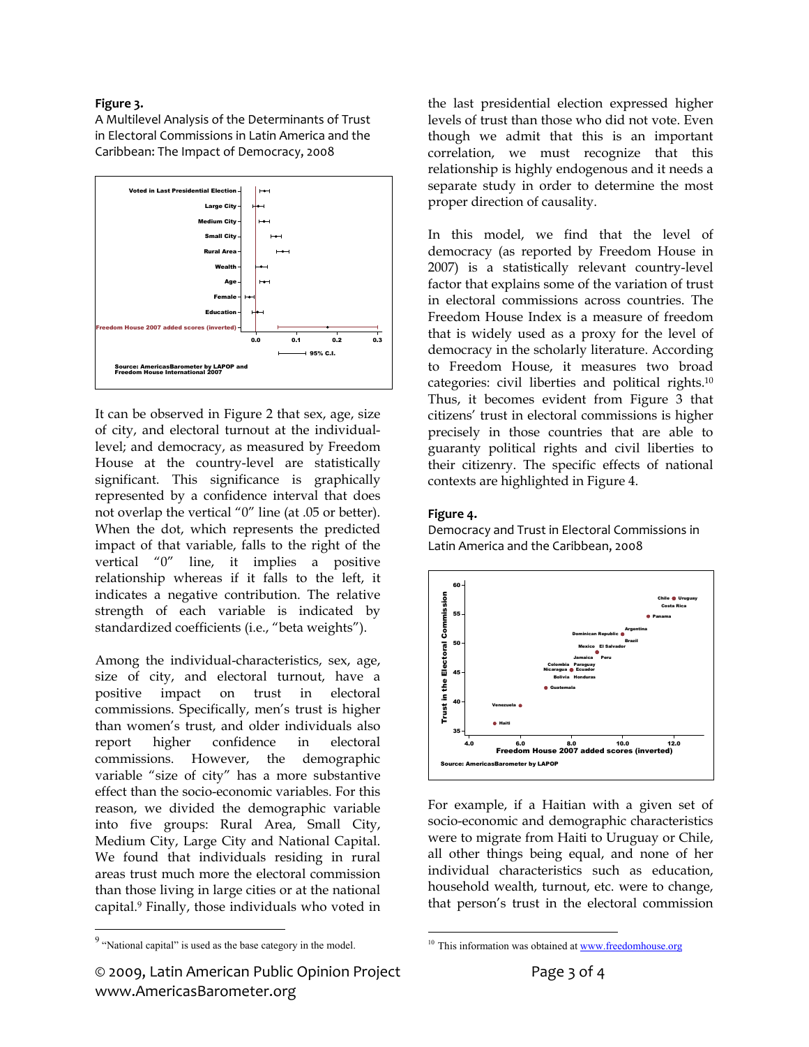#### **Figure 3.**

A Multilevel Analysis of the Determinants of Trust in Electoral Commissions in Latin America and the Caribbean: The Impact of Democracy, 2008



It can be observed in Figure 2 that sex, age, size of city, and electoral turnout at the individuallevel; and democracy, as measured by Freedom House at the country-level are statistically significant. This significance is graphically represented by a confidence interval that does not overlap the vertical "0" line (at .05 or better). When the dot, which represents the predicted impact of that variable, falls to the right of the vertical "0" line, it implies a positive relationship whereas if it falls to the left, it indicates a negative contribution. The relative strength of each variable is indicated by standardized coefficients (i.e., "beta weights").

Among the individual-characteristics, sex, age, size of city, and electoral turnout, have a positive impact on trust in electoral commissions. Specifically, men's trust is higher than women's trust, and older individuals also report higher confidence in electoral commissions. However, the demographic variable "size of city" has a more substantive effect than the socio-economic variables. For this reason, we divided the demographic variable into five groups: Rural Area, Small City, Medium City, Large City and National Capital. We found that individuals residing in rural areas trust much more the electoral commission than those living in large cities or at the national capital.9 Finally, those individuals who voted in

 $\overline{a}$ 

the last presidential election expressed higher levels of trust than those who did not vote. Even though we admit that this is an important correlation, we must recognize that this relationship is highly endogenous and it needs a separate study in order to determine the most proper direction of causality.

In this model, we find that the level of democracy (as reported by Freedom House in 2007) is a statistically relevant country-level factor that explains some of the variation of trust in electoral commissions across countries. The Freedom House Index is a measure of freedom that is widely used as a proxy for the level of democracy in the scholarly literature. According to Freedom House, it measures two broad categories: civil liberties and political rights.10 Thus, it becomes evident from Figure 3 that citizens' trust in electoral commissions is higher precisely in those countries that are able to guaranty political rights and civil liberties to their citizenry. The specific effects of national contexts are highlighted in Figure 4.

#### **Figure 4.**

 $\overline{a}$ 

Democracy and Trust in Electoral Commissions in Latin America and the Caribbean, 2008



For example, if a Haitian with a given set of socio-economic and demographic characteristics were to migrate from Haiti to Uruguay or Chile, all other things being equal, and none of her individual characteristics such as education, household wealth, turnout, etc. were to change, that person's trust in the electoral commission

 $9 \nightharpoonup$  "National capital" is used as the base category in the model.

<sup>&</sup>lt;sup>10</sup> This information was obtained at www.freedomhouse.org